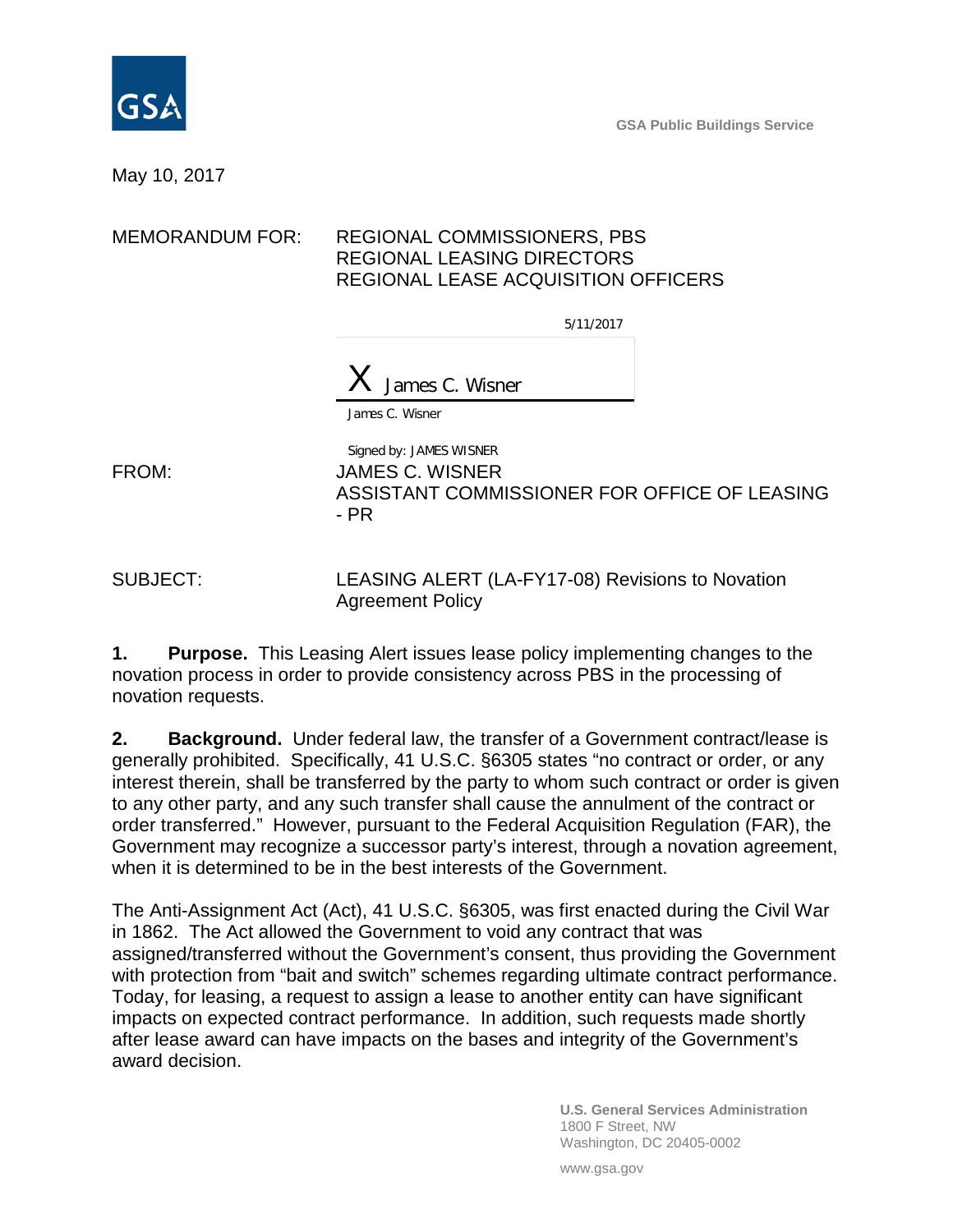

**GSA Public Buildings Service**

### May 10, 2017

### MEMORANDUM FOR: REGIONAL COMMISSIONERS, PBS REGIONAL LEASING DIRECTORS REGIONAL LEASE ACQUISITION OFFICERS

5/11/2017

 $X$  James C. Wisner

James C. Wisner

Signed by: JAMES WISNER FROM: JAMES C. WISNER ASSISTANT COMMISSIONER FOR OFFICE OF LEASING - PR

SUBJECT: LEASING ALERT (LA-FY17-08) Revisions to Novation Agreement Policy

**1. Purpose.** This Leasing Alert issues lease policy implementing changes to the novation process in order to provide consistency across PBS in the processing of novation requests.

**2. Background.** Under federal law, the transfer of a Government contract/lease is generally prohibited. Specifically, 41 U.S.C. §6305 states "no contract or order, or any interest therein, shall be transferred by the party to whom such contract or order is given to any other party, and any such transfer shall cause the annulment of the contract or order transferred." However, pursuant to the Federal Acquisition Regulation (FAR), the Government may recognize a successor party's interest, through a novation agreement, when it is determined to be in the best interests of the Government.

The Anti-Assignment Act (Act), 41 U.S.C. §6305, was first enacted during the Civil War in 1862. The Act allowed the Government to void any contract that was assigned/transferred without the Government's consent, thus providing the Government with protection from "bait and switch" schemes regarding ultimate contract performance. Today, for leasing, a request to assign a lease to another entity can have significant impacts on expected contract performance. In addition, such requests made shortly after lease award can have impacts on the bases and integrity of the Government's award decision.

> **U.S. General Services Administration** 1800 F Street, NW Washington, DC 20405-0002

www.gsa.gov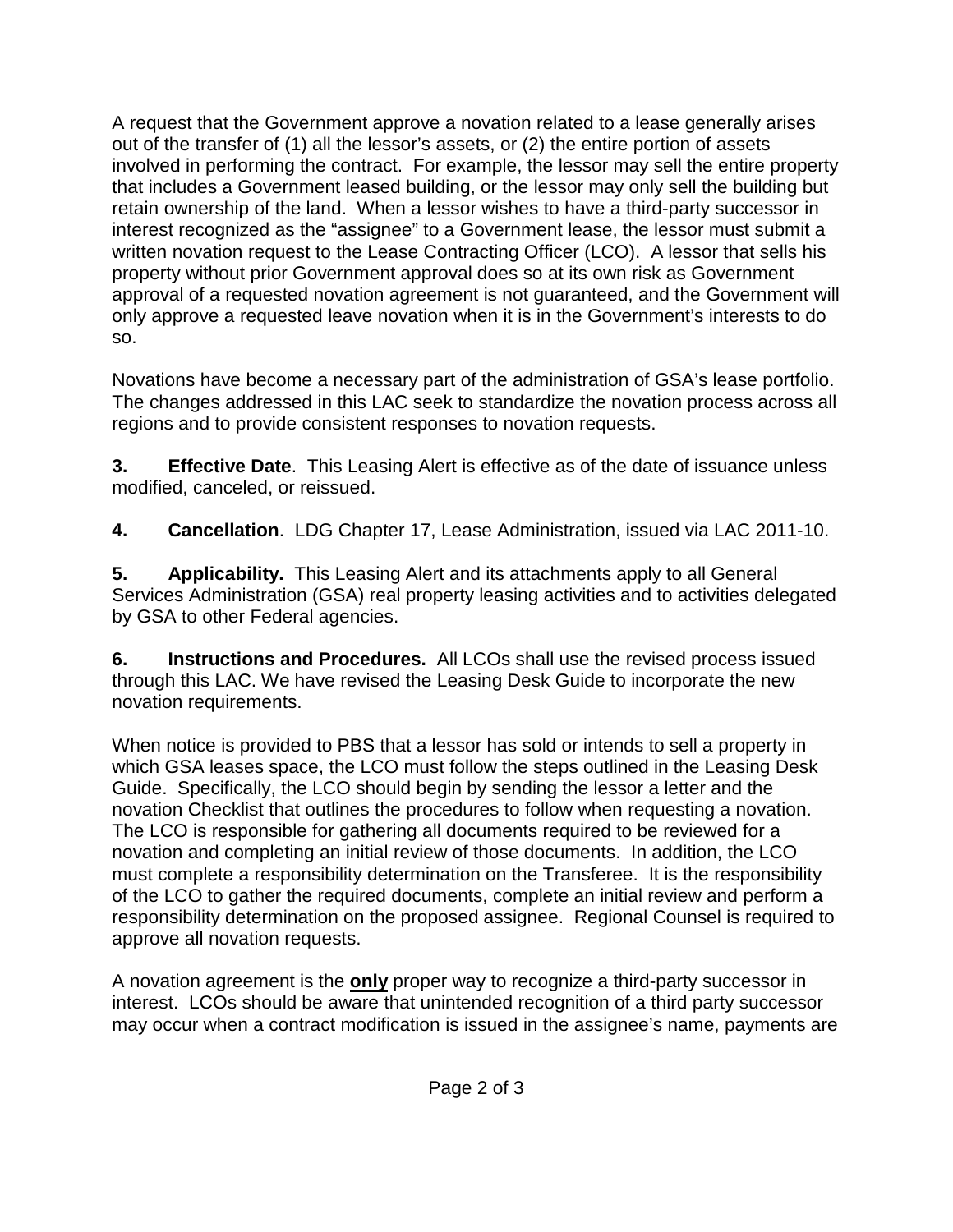A request that the Government approve a novation related to a lease generally arises out of the transfer of (1) all the lessor's assets, or (2) the entire portion of assets involved in performing the contract. For example, the lessor may sell the entire property that includes a Government leased building, or the lessor may only sell the building but retain ownership of the land. When a lessor wishes to have a third-party successor in interest recognized as the "assignee" to a Government lease, the lessor must submit a written novation request to the Lease Contracting Officer (LCO). A lessor that sells his property without prior Government approval does so at its own risk as Government approval of a requested novation agreement is not guaranteed, and the Government will only approve a requested leave novation when it is in the Government's interests to do so.

Novations have become a necessary part of the administration of GSA's lease portfolio. The changes addressed in this LAC seek to standardize the novation process across all regions and to provide consistent responses to novation requests.

**3. Effective Date**. This Leasing Alert is effective as of the date of issuance unless modified, canceled, or reissued.

**4. Cancellation**. LDG Chapter 17, Lease Administration, issued via LAC 2011-10.

**5. Applicability.** This Leasing Alert and its attachments apply to all General Services Administration (GSA) real property leasing activities and to activities delegated by GSA to other Federal agencies.

**6. Instructions and Procedures.** All LCOs shall use the revised process issued through this LAC. We have revised the Leasing Desk Guide to incorporate the new novation requirements.

When notice is provided to PBS that a lessor has sold or intends to sell a property in which GSA leases space, the LCO must follow the steps outlined in the Leasing Desk Guide. Specifically, the LCO should begin by sending the lessor a letter and the novation Checklist that outlines the procedures to follow when requesting a novation. The LCO is responsible for gathering all documents required to be reviewed for a novation and completing an initial review of those documents. In addition, the LCO must complete a responsibility determination on the Transferee. It is the responsibility of the LCO to gather the required documents, complete an initial review and perform a responsibility determination on the proposed assignee. Regional Counsel is required to approve all novation requests.

A novation agreement is the **only** proper way to recognize a third-party successor in interest. LCOs should be aware that unintended recognition of a third party successor may occur when a contract modification is issued in the assignee's name, payments are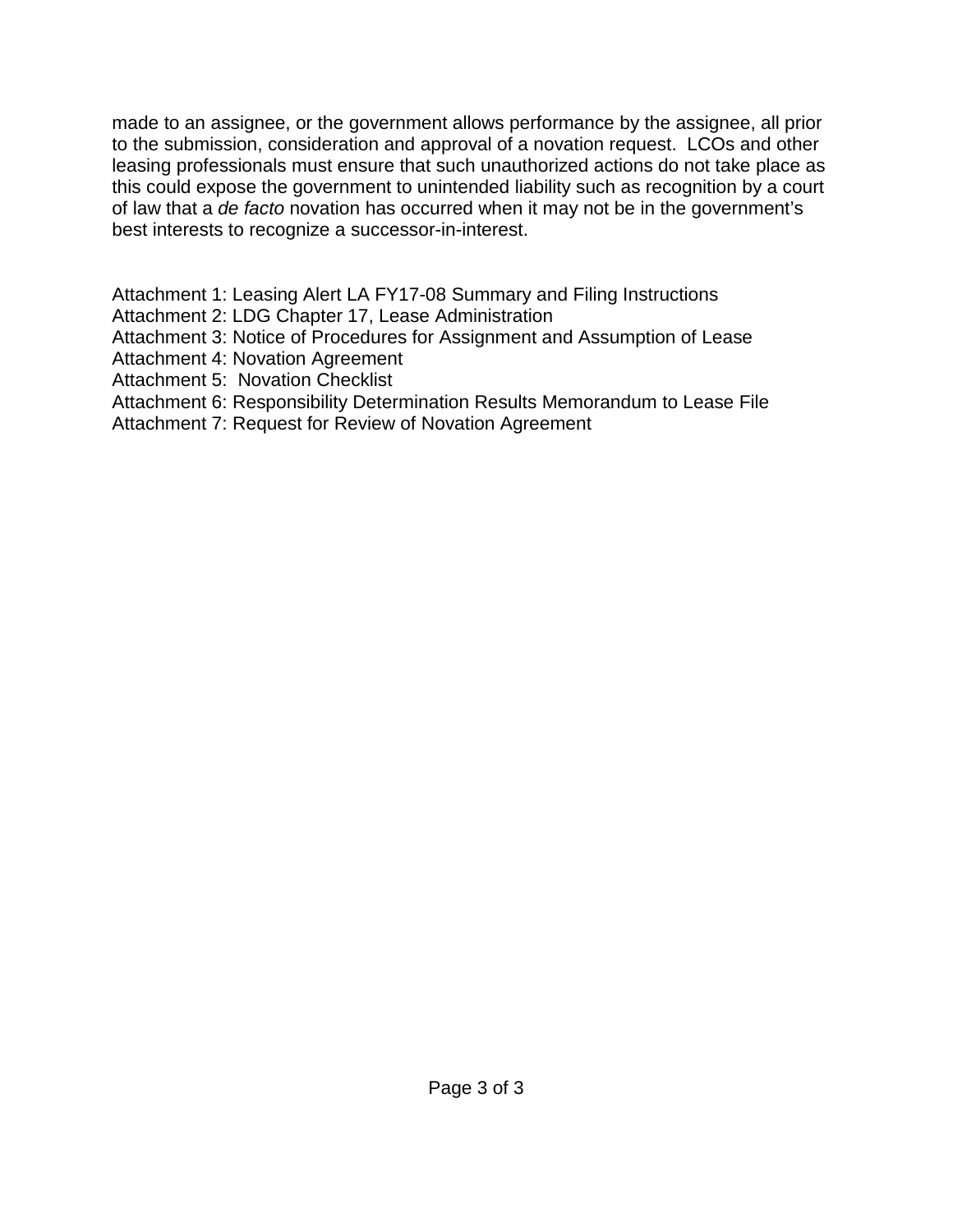made to an assignee, or the government allows performance by the assignee, all prior to the submission, consideration and approval of a novation request. LCOs and other leasing professionals must ensure that such unauthorized actions do not take place as this could expose the government to unintended liability such as recognition by a court of law that a *de facto* novation has occurred when it may not be in the government's best interests to recognize a successor-in-interest.

Attachment 1: Leasing Alert LA FY17-08 Summary and Filing Instructions

- Attachment 2: LDG Chapter 17, Lease Administration
- Attachment 3: Notice of Procedures for Assignment and Assumption of Lease
- Attachment 4: Novation Agreement
- Attachment 5: Novation Checklist
- Attachment 6: Responsibility Determination Results Memorandum to Lease File
- Attachment 7: Request for Review of Novation Agreement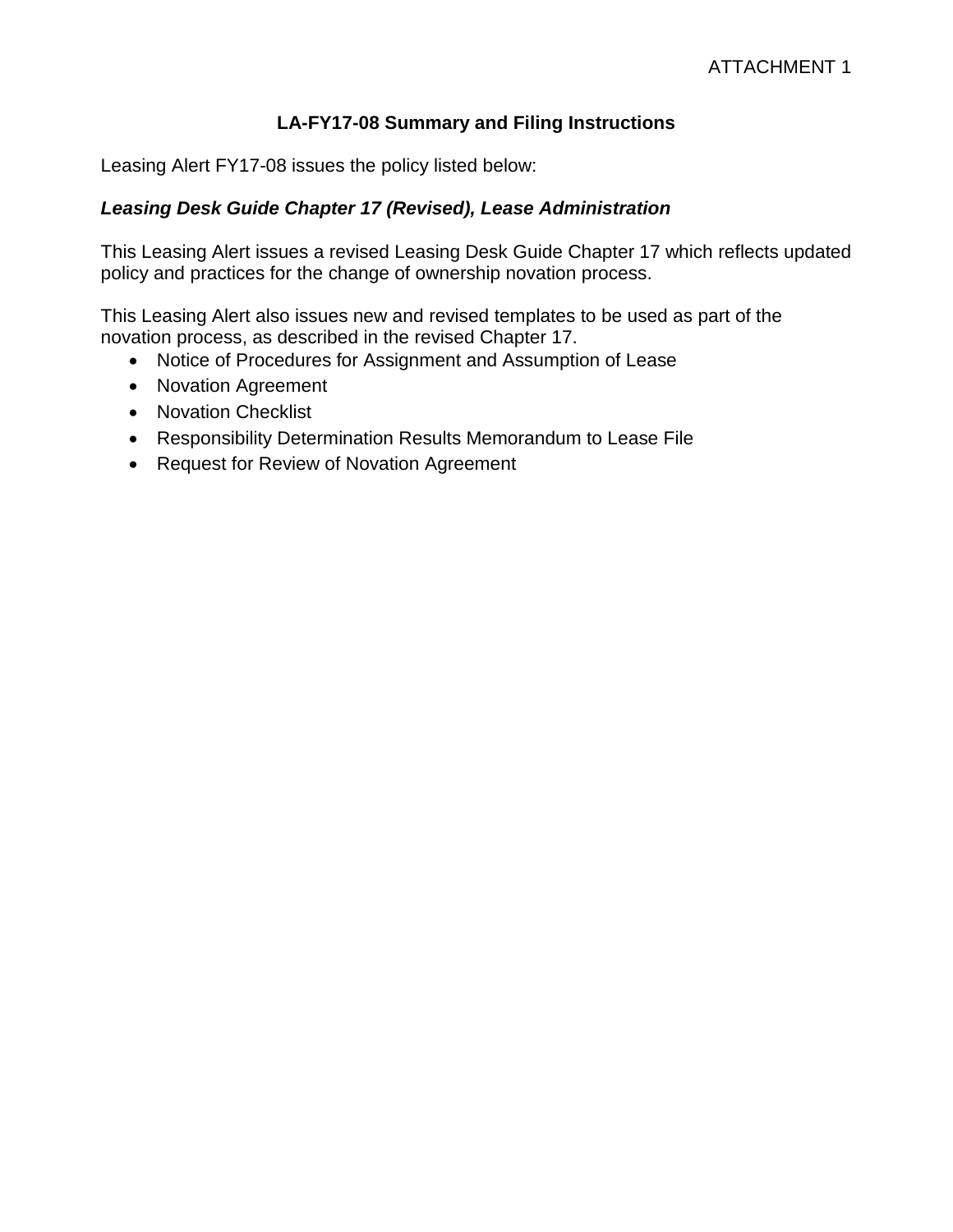## **LA-FY17-08 Summary and Filing Instructions**

Leasing Alert FY17-08 issues the policy listed below:

## *Leasing Desk Guide Chapter 17 (Revised), Lease Administration*

This Leasing Alert issues a revised Leasing Desk Guide Chapter 17 which reflects updated policy and practices for the change of ownership novation process.

This Leasing Alert also issues new and revised templates to be used as part of the novation process, as described in the revised Chapter 17.

- Notice of Procedures for Assignment and Assumption of Lease
- Novation Agreement
- Novation Checklist
- Responsibility Determination Results Memorandum to Lease File
- Request for Review of Novation Agreement